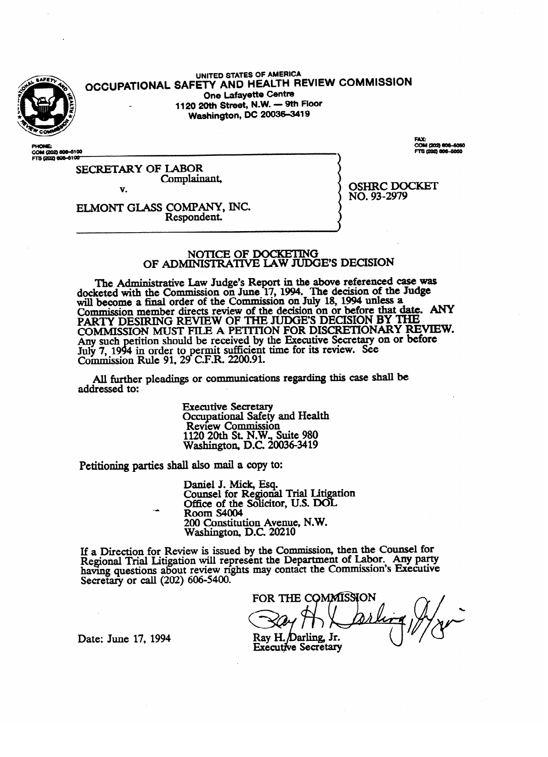

**OCCUPATIONAL**  UNITED SIMES **LIGAL TH R SAFETT AND HEALTH REVIEW COMMISSION One Lafayette Centre<br>1120 20th Street, N.W. — 9th Floor Washington, DC 20036-3419 Washington, DC 2003643419** 

COM (202) 606-5100<br>FTS (202) 606-6100 ms@n2j(Dbbldb

COM (202) 606-5060

SECRETARY OF LABOR<br>Complainant, court comments.

NO. 93-2979

ELMONT GLASS COMPANY, INC. Respondent.

#### NOTICE OF DOCKETING OF ADMINISTRATIVE LAW JUDGE'S DECISION

 $\mathbf{L}$  and  $\mathbf{L}$  are Indee's Depert in the chara referenced Refed with the Commission on June 17, 1994. The aecision of the Judge's Report in the above reference as will become a final order of the Commission on July 16, 1994 unless a<br>Commission mamber directs review of the decision on or before that date. Commission member directs review of the decision on or before that **a** decorrect of the Commission of the Commission RY COMMISSION MUST FILE A PETITION FOR DISCRETIONARY REVIEW. Any such petition should be received by the Executive Secretary on or before Any such petition should be received by the Laccurre becreamy off or below.<br>Tuly 7–1994 in order to permit sufficient time for its review. See Filly 7, 1994 in Gruet to perfine sufficient time for the fevrew. Secretary on *Commission Rule 91, 29 C.F.R. 2200.91*  $\sum_{i=1}^{n}$   $\sum_{i=1}^{n}$   $\sum_{i=1}^{n}$   $\sum_{i=1}^{n}$   $\sum_{i=1}^{n}$   $\sum_{i=1}^{n}$   $\sum_{i=1}^{n}$ 

All further pleadings or communications regarding this case shall be  $A$  fiustion pleading or communications regarding the communications regarding the communications regarding the communications  $A$ 

> **Review Commission** 1120 20th St. N.W., Suite 980 Washington, D.C. 200

1120 20th St. N.W., Suite 980 Petitioning parties shall also mail a copy to:

> Daniel J. Mick, Esq.<br>Counsel for Regional Trial Litigation Office of the Solicitor, U.S. DOL<br>Room S4004 Room  $S4004$ <br>200 Constitution Account N W. 200 Constitution Avenue, N.W.<br>Weshington, D.C. 20210 Washington, D.C. 20210

If a Direction for Review is issued by the Commission, then the Counsel for Regional Trial Litigation will represent the Department of Labor. Any party having questions about review rights may contact the Commission's Executive Secretary or call  $(202)$  606-5400.

FOR THE COMMISSION  $S(V|I)$ **Executive Secretary** 

Date: June 17, 1994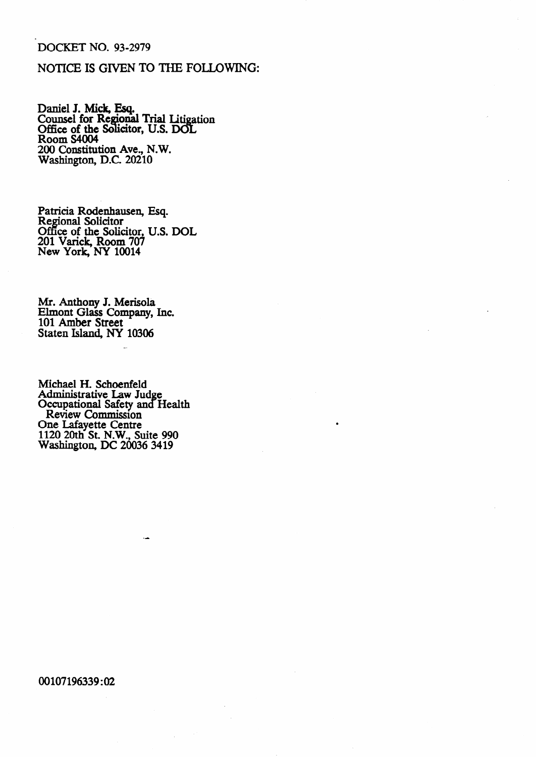## 'DOCKET NO. 93-2979

## NOTICE IS GIVEN **TO THE FOLIDWING:**

Daniel J. Mick, Esq. Counsel for Re **'onal** Trial Iiti **ation Office of the Solicitor, U.S. DOL** Room S4004 200 Constitution Ave., N.W. Washington, D.C. 20210

Patricia Rodenhausen, Regional Solicitor Office of the Solicitor, 201 Varick, Room 707 New York, NY 10014 Esq. U.S. DOL

Mr. Anthony J. Merisola Elmont Glass Company, Inc. 101 **Amber Street**  Staten Island, NY 10306

Michael H. Schoenfeld Administrative Law Jud Occupational Safety and e Health Review Commission One Lafayette Centre 1120 20th St. N.W., Suite 990 Washington, DC 20036 3419

00107196339:02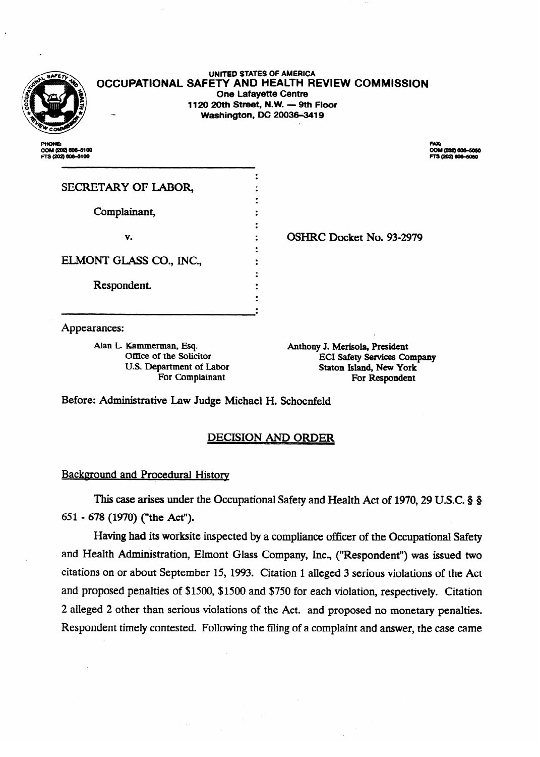

**UNITED STATES OF AMERICA OCCUPATIONAL SAFETY AND HEALTH REVIEW COMMISSION One Lafayette Centre 1120 20th Street, N.W. - 9th Floor Washington, DC 20036-3419 .** 

COM (202) 606-5100 TS (202) 606-5100

FAX:<br>COM (202) 606-5050 TS (202) 606-5050

| SECRETARY OF LABOR,     |                          |
|-------------------------|--------------------------|
| Complainant,            |                          |
| v.                      | OSHRC Docket No. 93-2979 |
| ELMONT GLASS CO., INC., |                          |
| Respondent.             |                          |
|                         |                          |

Appearances:

Alan L. Kammerman, Esq. (a) Anthony J. Merisola, President Coffice of the Solicitor (a) and Anthony J. Merisola, President (a)  $ECI$  Safety Services Company U.S. Department of Labor Staton Island, New York For Complainant **For Respondent** For Complainant For Respondent

Before: Administrative Law Judge Michael H. Schoenfeld

## **DECISION AND ORDER**

### **Background and Procedural History** Background and Procedural Historv

This case arises under the Occupational Safety and Health Act of 1970, 29 U.S.C. § § 651 - 678 (1970) ("the Act").

Having had its worksite inspected by a compliance officer of the Occupational Safety and Health Administration, Elmont Glass Company, Inc., ("Respondent") was issued two citations on or about September 15, 1993. Citation 1 alleged 3 serious violations of the Act and proposed penalties of \$1500, \$1500 and \$750 for each violation, respectively. Citation 2 alleged 2 other than serious violations of the Act. and proposed no monetary penalties. Respondent timely contested. Following the filing of a complaint and answer, the case came

Respondent timely contested. Following the filing of a complaint and answer, the case came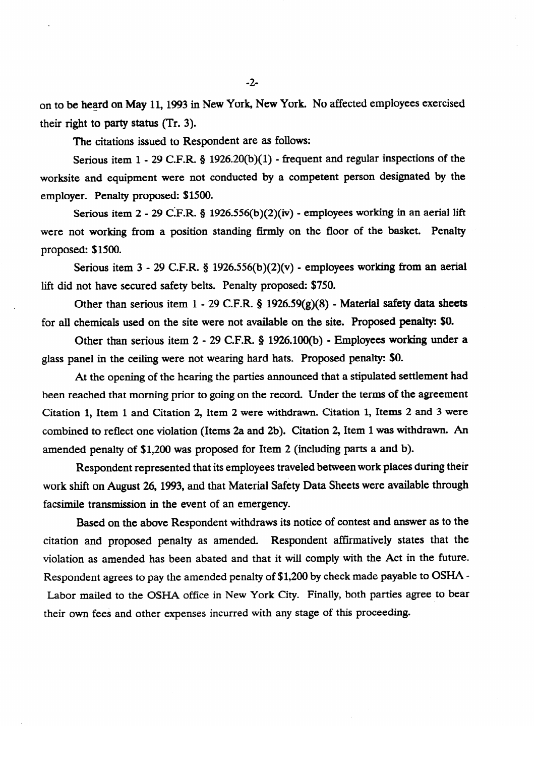on to be heard on May 11,1993 in New York, New York. No affected employees exercised their right to party **status** (Tr. 3).

The citations issued to Respondent are as follows:

Serious item 1 - 29 C.F.R. § 1926.20(b)(1) - frequent and regular inspections of the worksite and equipment were not conducted by a competent person designated by the employer. Penalty proposed: \$1500.

Serious item 2 - 29 C.F.R. § 1926.556(b)(2)(iv) - employees working in an aerial lift Serious item 2 - 29 CIF.R. 3 1926556(b)(2)(iv) - employees working in an aerial lift proposed: \$1500.

Serious item 3 - 29 C.F.R. § 1926.556(b)(2)(v) - employees working from an aerial  $\mathbf{S}$  -  $\mathbf{S}$  -  $\mathbf{S}$  -  $\mathbf{S}$  -  $\mathbf{S}$  -  $\mathbf{S}$  -  $\mathbf{S}$  -  $\mathbf{S}$  -  $\mathbf{S}$  -  $\mathbf{S}$  -  $\mathbf{S}$  -  $\mathbf{S}$  -  $\mathbf{S}$  -  $\mathbf{S}$  -  $\mathbf{S}$  -  $\mathbf{S}$  -  $\mathbf{S}$  -  $\mathbf{S}$  -  $\mathbf{S}$  -  $\mathbf{S}$  -

Other than serious item  $1 - 29$  C.F.R. § 1926.59(g)(8) - Material safety data sheets. for all chemicals used on the site were not available on the site. Proposed penalty: \$0.

Other than serious item  $2 - 29$  C.F.R. § 1926.100(b) - Employees working under a glass panel in the ceiling were not wearing hard hats. Proposed penalty: \$0.

At the opening of the hearing the parties announced that a stipulated settlement had been reached that morning prior to going on the record. Under the terms of the agreement Citation 1, Item 1 and Citation 2, Item 2 were withdrawn. Citation 1, Items 2 and 3 were combined to reflect one violation (Items 2a and 2b). Citation 2, Item 1 was withdrawn. An amended penalty of \$1,200 was proposed for Item 2 (including parts a and b).

Respondent represented that its employees traveled between work places during their work shift on August 26, 1993, and that Material Safety Data Sheets were available through facsimile transmission in the event of an emergency.

Based on the above Respondent withdraws its notice of contest and answer as to the citation and proposed penalty as amended. Respondent affirmatively states that the violation as amended has been abated and that it will comply with the Act in the future. Respondent agrees to pay the amended penalty of \$1,200 by check made payable to OSHA -Labor mailed to the OSHA office in New York City. Finally, both parties agree to bear their own fees and other expenses incurred with any stage of this proceeding.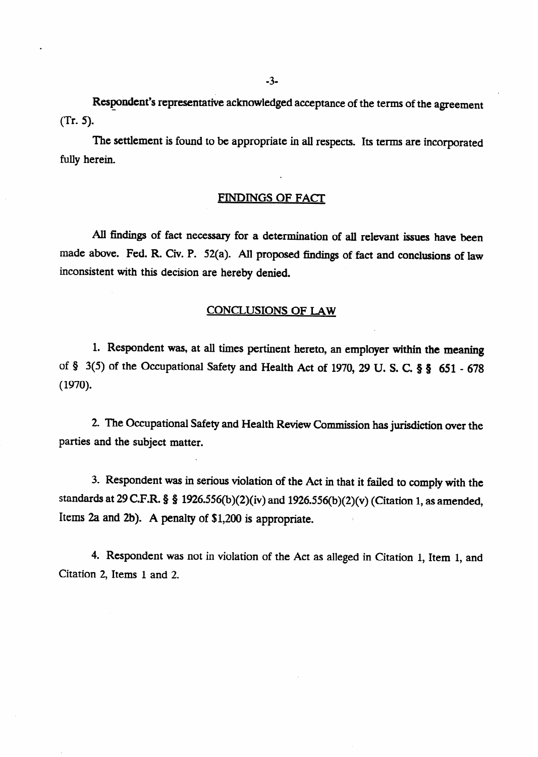Respondent's representative acknowledged acceptance of the terms of the agreement  $(Tr. 5)$ .

The settlement is found to be appropriate in all respects. Its terms are incorporated fully herein.

### FINDINGS OF FACI'

All findings of fact necessary for a determination of all relevant issues have been made above. Fed. R. Civ. P. 52(a). All proposed findings of fact and conclusions of law inconsistent with this decision are hereby denied.

### CONCLUSIONS OF LAW

1. Respondent was, at all times pertinent hereto, an employer within the meaning of § 3(5) of the Occupational Safety and Health Act of 1970, 29 U.S.C. § § 651 - 678 (1970).

2. The Occupational Safety and Health Review Commission has jurisdiction over the parties and the subject matter.

3. Respondent was in serious violation of the Act in that it failed to comply with the standards at 29 C.F.R. § § 1926.556(b)(2)(iv) and 1926.556(b)(2)(v) (Citation 1, as amended, Items 2a and 2b). A penalty of  $$1,200$  is appropriate.

4. Respondent was not in violation of the Act as alleged in Citation 1, Item 1, and Citation 2, Items 1 and 2.